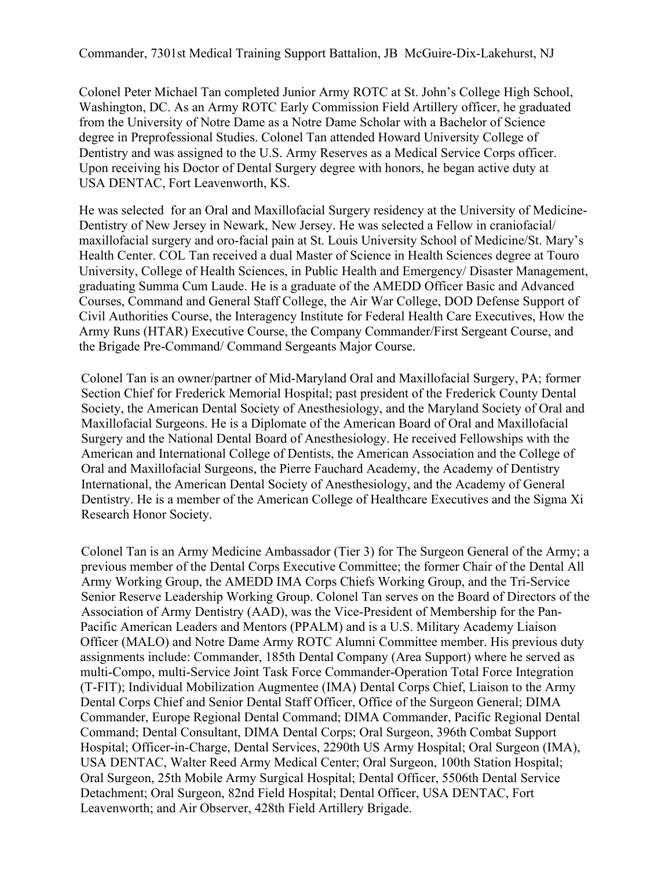Commander, 7301st Medical Training Support Battalion, JB McGuire-Dix-Lakehurst, NJ

Colonel Peter Michael Tan completed Junior Army ROTC at St. John's College High School, Washington, DC. As an Army ROTC Early Commission Field Artillery officer, he graduated from the University of Notre Dame as a Notre Dame Scholar with a Bachelor of Science degree in Preprofessional Studies. Colonel Tan attended Howard University College of Dentistry and was assigned to the U.S. Army Reserves as a Medical Service Corps officer. Upon receiving his Doctor of Dental Surgery degree with honors, he began active duty at USA DENTAC, Fort Leavenworth, KS.

He was selected for an Oral and Maxillofacial Surgery residency at the University of Medicine-Dentistry of New Jersey in Newark, New Jersey. He was selected a Fellow in craniofacial/ maxillofacial surgery and oro-facial pain at St. Louis University School of Medicine/St. Mary's Health Center. COL Tan received a dual Master of Science in Health Sciences degree at Touro University, College of Health Sciences, in Public Health and Emergency/ Disaster Management, graduating Summa Cum Laude. He is a graduate of the AMEDD Officer Basic and Advanced Courses, Command and General Staff College, the Air War College, DOD Defense Support of Civil Authorities Course, the Interagency Institute for Federal Health Care Executives, How the Army Runs (HTAR) Executive Course, the Company Commander/First Sergeant Course, and the Brigade Pre-Command/ Command Sergeants Major Course.

Colonel Tan is an owner/partner of Mid-Maryland Oral and Maxillofacial Surgery, PA; former Section Chief for Frederick Memorial Hospital; past president of the Frederick County Dental Society, the American Dental Society of Anesthesiology, and the Maryland Society of Oral and Maxillofacial Surgeons. He is a Diplomate of the American Board of Oral and Maxillofacial Surgery and the National Dental Board of Anesthesiology. He received Fellowships with the American and International College of Dentists, the American Association and the College of Oral and Maxillofacial Surgeons, the Pierre Fauchard Academy, the Academy of Dentistry International, the American Dental Society of Anesthesiology, and the Academy of General Dentistry. He is a member of the American College of Healthcare Executives and the Sigma Xi Research Honor Society.

Colonel Tan is an Army Medicine Ambassador (Tier 3) for The Surgeon General of the Army; a previous member of the Dental Corps Executive Committee; the former Chair of the Dental All Army Working Group, the AMEDD IMA Corps Chiefs Working Group, and the Tri-Service Senior Reserve Leadership Working Group. Colonel Tan serves on the Board of Directors of the Association of Army Dentistry (AAD), was the Vice-President of Membership for the Pan-Pacific American Leaders and Mentors (PPALM) and is a U.S. Military Academy Liaison Officer (MALO) and Notre Dame Army ROTC Alumni Committee member. His previous duty assignments include: Commander, 185th Dental Company (Area Support) where he served as multi-Compo, multi-Service Joint Task Force Commander-Operation Total Force Integration (T-FIT); Individual Mobilization Augmentee (IMA) Dental Corps Chief, Liaison to the Army Dental Corps Chief and Senior Dental Staff Officer, Office of the Surgeon General; DIMA Commander, Europe Regional Dental Command; DIMA Commander, Pacific Regional Dental Command; Dental Consultant, DIMA Dental Corps; Oral Surgeon, 396th Combat Support Hospital; Officer-in-Charge, Dental Services, 2290th US Army Hospital; Oral Surgeon (IMA), USA DENTAC, Walter Reed Army Medical Center; Oral Surgeon, 100th Station Hospital; Oral Surgeon, 25th Mobile Army Surgical Hospital; Dental Officer, 5506th Dental Service Detachment; Oral Surgeon, 82nd Field Hospital; Dental Officer, USA DENTAC, Fort Leavenworth; and Air Observer, 428th Field Artillery Brigade.